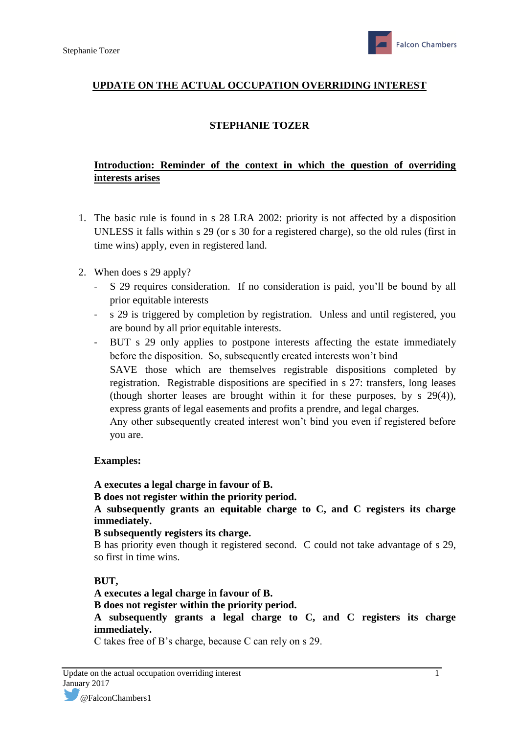## **UPDATE ON THE ACTUAL OCCUPATION OVERRIDING INTEREST**

### **STEPHANIE TOZER**

## **Introduction: Reminder of the context in which the question of overriding interests arises**

- 1. The basic rule is found in s 28 LRA 2002: priority is not affected by a disposition UNLESS it falls within s 29 (or s 30 for a registered charge), so the old rules (first in time wins) apply, even in registered land.
- 2. When does s 29 apply?
	- S 29 requires consideration. If no consideration is paid, you'll be bound by all prior equitable interests
	- s 29 is triggered by completion by registration. Unless and until registered, you are bound by all prior equitable interests.
	- BUT s 29 only applies to postpone interests affecting the estate immediately before the disposition. So, subsequently created interests won't bind SAVE those which are themselves registrable dispositions completed by registration. Registrable dispositions are specified in s 27: transfers, long leases (though shorter leases are brought within it for these purposes, by s 29(4)), express grants of legal easements and profits a prendre, and legal charges. Any other subsequently created interest won't bind you even if registered before you are.

#### **Examples:**

**A executes a legal charge in favour of B.**

**B does not register within the priority period.** 

**A subsequently grants an equitable charge to C, and C registers its charge immediately.** 

**B subsequently registers its charge.** 

B has priority even though it registered second. C could not take advantage of s 29, so first in time wins.

#### **BUT,**

**A executes a legal charge in favour of B.**

**B does not register within the priority period.** 

**A subsequently grants a legal charge to C, and C registers its charge immediately.** 

C takes free of B's charge, because C can rely on s 29.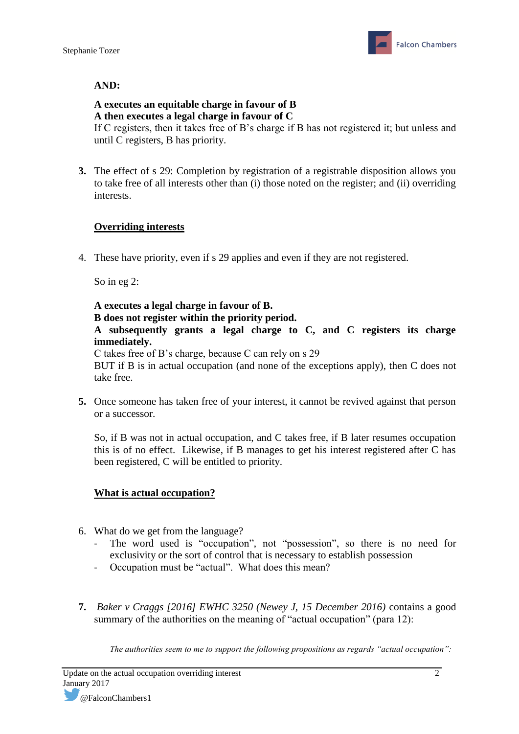## **AND:**

## **A executes an equitable charge in favour of B A then executes a legal charge in favour of C**

If C registers, then it takes free of B's charge if B has not registered it; but unless and until C registers, B has priority.

**3.** The effect of s 29: Completion by registration of a registrable disposition allows you to take free of all interests other than (i) those noted on the register; and (ii) overriding interests.

## **Overriding interests**

4. These have priority, even if s 29 applies and even if they are not registered.

So in eg 2:

# **A executes a legal charge in favour of B.**

**B does not register within the priority period.** 

**A subsequently grants a legal charge to C, and C registers its charge immediately.** 

C takes free of B's charge, because C can rely on s 29

BUT if B is in actual occupation (and none of the exceptions apply), then C does not take free.

**5.** Once someone has taken free of your interest, it cannot be revived against that person or a successor.

So, if B was not in actual occupation, and C takes free, if B later resumes occupation this is of no effect. Likewise, if B manages to get his interest registered after C has been registered, C will be entitled to priority.

### **What is actual occupation?**

- 6. What do we get from the language?
	- The word used is "occupation", not "possession", so there is no need for exclusivity or the sort of control that is necessary to establish possession
	- Occupation must be "actual". What does this mean?
- **7.** *Baker v Craggs [2016] EWHC 3250 (Newey J, 15 December 2016)* contains a good summary of the authorities on the meaning of "actual occupation" (para 12):

*The authorities seem to me to support the following propositions as regards "actual occupation":*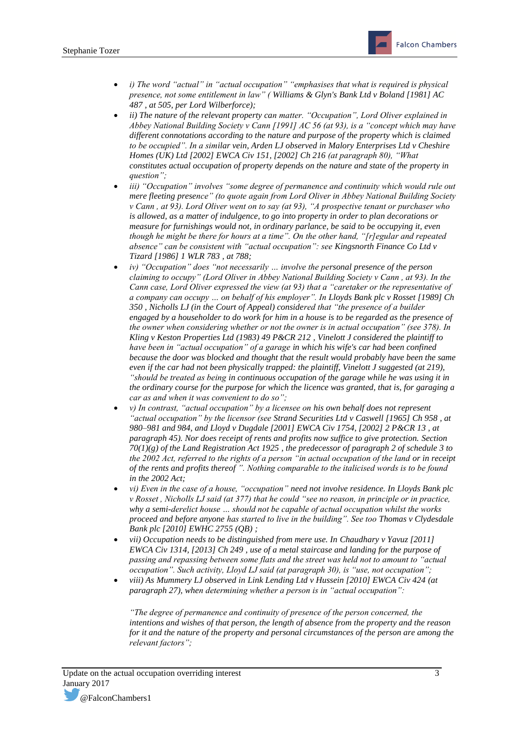- *i) The word "actual" in "actual occupation" "emphasises that what is required is physical presence, not some entitlement in law" ( [Williams & Glyn's Bank Ltd v Boland \[1981\] AC](http://login.westlaw.co.uk/maf/wluk/app/document?src=doc&linktype=ref&context=39&crumb-action=replace&docguid=I01451E70E42911DA8FC2A0F0355337E9)  [487](http://login.westlaw.co.uk/maf/wluk/app/document?src=doc&linktype=ref&context=39&crumb-action=replace&docguid=I01451E70E42911DA8FC2A0F0355337E9) , at 505, per Lord Wilberforce);*
- *ii) The nature of the relevant property can matter. "Occupation", Lord Oliver explained in Abbey National Building Society v Cann [1991] AC 56 (at 93), is a "concept which may have different connotations according to the nature and purpose of the property which is claimed to be occupied". In a similar vein, Arden LJ observed i[n Malory Enterprises Ltd v Cheshire](http://login.westlaw.co.uk/maf/wluk/app/document?src=doc&linktype=ref&context=39&crumb-action=replace&docguid=IED83DB71E42711DA8FC2A0F0355337E9)  [Homes \(UK\) Ltd \[2002\] EWCA Civ 151, \[2002\] Ch 216](http://login.westlaw.co.uk/maf/wluk/app/document?src=doc&linktype=ref&context=39&crumb-action=replace&docguid=IED83DB71E42711DA8FC2A0F0355337E9) (at paragraph 80), "What constitutes actual occupation of property depends on the nature and state of the property in question";*
- *iii)* "Occupation" involves "some degree of permanence and continuity which would rule out *mere fleeting presence" (to quote again from Lord Oliver in Abbey National Building Society v Cann , at 93). Lord Oliver went on to say (at 93), "A prospective tenant or purchaser who is allowed, as a matter of indulgence, to go into property in order to plan decorations or measure for furnishings would not, in ordinary parlance, be said to be occupying it, even though he might be there for hours at a time". On the other hand, "[r]egular and repeated absence" can be consistent with "actual occupation": see [Kingsnorth Finance Co Ltd v](http://login.westlaw.co.uk/maf/wluk/app/document?src=doc&linktype=ref&context=39&crumb-action=replace&docguid=ID45E0580E42711DA8FC2A0F0355337E9)  [Tizard \[1986\] 1 WLR 783](http://login.westlaw.co.uk/maf/wluk/app/document?src=doc&linktype=ref&context=39&crumb-action=replace&docguid=ID45E0580E42711DA8FC2A0F0355337E9) , at 788;*
- *iv) "Occupation" does "not necessarily … involve the personal presence of the person claiming to occupy" (Lord Oliver in Abbey National Building Society v Cann , at 93). In the Cann case, Lord Oliver expressed the view (at 93) that a "caretaker or the representative of a company can occupy … on behalf of his employer". In [Lloyds Bank plc v Rosset \[1989\] Ch](http://login.westlaw.co.uk/maf/wluk/app/document?src=doc&linktype=ref&context=39&crumb-action=replace&docguid=IE21A8FE0E42711DA8FC2A0F0355337E9)  [350](http://login.westlaw.co.uk/maf/wluk/app/document?src=doc&linktype=ref&context=39&crumb-action=replace&docguid=IE21A8FE0E42711DA8FC2A0F0355337E9) , Nicholls LJ (in the Court of Appeal) considered that "the presence of a builder engaged by a householder to do work for him in a house is to be regarded as the presence of the owner when considering whether or not the owner is in actual occupation" (see 378). In [Kling v Keston Properties Ltd \(1983\) 49 P&CR 212](http://login.westlaw.co.uk/maf/wluk/app/document?src=doc&linktype=ref&context=39&crumb-action=replace&docguid=ID4C70080E42711DA8FC2A0F0355337E9) , Vinelott J considered the plaintiff to have been in "actual occupation" of a garage in which his wife's car had been confined because the door was blocked and thought that the result would probably have been the same even if the car had not been physically trapped: the plaintiff, Vinelott J suggested (at 219), "should be treated as being in continuous occupation of the garage while he was using it in the ordinary course for the purpose for which the licence was granted, that is, for garaging a car as and when it was convenient to do so";*
- *v) In contrast, "actual occupation" by a licensee on his own behalf does not represent "actual occupation" by the licensor (see [Strand Securities Ltd v Caswell \[1965\] Ch 958](http://login.westlaw.co.uk/maf/wluk/app/document?src=doc&linktype=ref&context=39&crumb-action=replace&docguid=IBFEB13D0E42811DA8FC2A0F0355337E9) , at 980–981 and 984, and [Lloyd v Dugdale \[2001\] EWCA Civ 1754, \[2002\] 2 P&CR 13](http://login.westlaw.co.uk/maf/wluk/app/document?src=doc&linktype=ref&context=39&crumb-action=replace&docguid=IE1F099B0E42711DA8FC2A0F0355337E9) , at paragraph 45). Nor does receipt of rents and profits now suffice to give protection. [Section](http://login.westlaw.co.uk/maf/wluk/app/document?src=doc&linktype=ref&context=39&crumb-action=replace&docguid=I39ECF620E44811DA8D70A0E70A78ED65)  [70\(1\)\(g\) of the Land Registration Act 1925](http://login.westlaw.co.uk/maf/wluk/app/document?src=doc&linktype=ref&context=39&crumb-action=replace&docguid=I39ECF620E44811DA8D70A0E70A78ED65) , the predecessor o[f paragraph 2 of schedule 3](http://login.westlaw.co.uk/maf/wluk/app/document?src=doc&linktype=ref&context=39&crumb-action=replace&docguid=I383A6420E44811DA8D70A0E70A78ED65) to the 2002 Act, referred to the rights of a person "in actual occupation of the land or in receipt of the rents and profits thereof ". Nothing comparable to the italicised words is to be found in the 2002 Act;*
- *vi) Even in the case of a house, "occupation" need not involve residence. In Lloyds Bank plc v Rosset , Nicholls LJ said (at 377) that he could "see no reason, in principle or in practice, why a semi-derelict house … should not be capable of actual occupation whilst the works proceed and before anyone has started to live in the building". See to[o Thomas v Clydesdale](http://login.westlaw.co.uk/maf/wluk/app/document?src=doc&linktype=ref&context=39&crumb-action=replace&docguid=I631F23A0EC7811DF9E738AE5417A83F5)  [Bank plc \[2010\] EWHC 2755 \(QB\)](http://login.westlaw.co.uk/maf/wluk/app/document?src=doc&linktype=ref&context=39&crumb-action=replace&docguid=I631F23A0EC7811DF9E738AE5417A83F5) ;*
- *vii) Occupation needs to be distinguished from mere use. In [Chaudhary v Yavuz \[2011\]](http://login.westlaw.co.uk/maf/wluk/app/document?src=doc&linktype=ref&context=39&crumb-action=replace&docguid=I8772F440156A11E1B9429A8F93415A56)  [EWCA Civ 1314, \[2013\] Ch 249](http://login.westlaw.co.uk/maf/wluk/app/document?src=doc&linktype=ref&context=39&crumb-action=replace&docguid=I8772F440156A11E1B9429A8F93415A56) , use of a metal staircase and landing for the purpose of passing and repassing between some flats and the street was held not to amount to "actual occupation". Such activity, Lloyd LJ said (at paragraph 30), is "use, not occupation";*
- *viii) As Mummery LJ observed in [Link Lending Ltd v Hussein \[2010\] EWCA Civ 424](http://login.westlaw.co.uk/maf/wluk/app/document?src=doc&linktype=ref&context=39&crumb-action=replace&docguid=I47A087F04F3811DFBEA5849178A90F24) (at paragraph 27), when determining whether a person is in "actual occupation":*

*"The degree of permanence and continuity of presence of the person concerned, the intentions and wishes of that person, the length of absence from the property and the reason for it and the nature of the property and personal circumstances of the person are among the relevant factors";*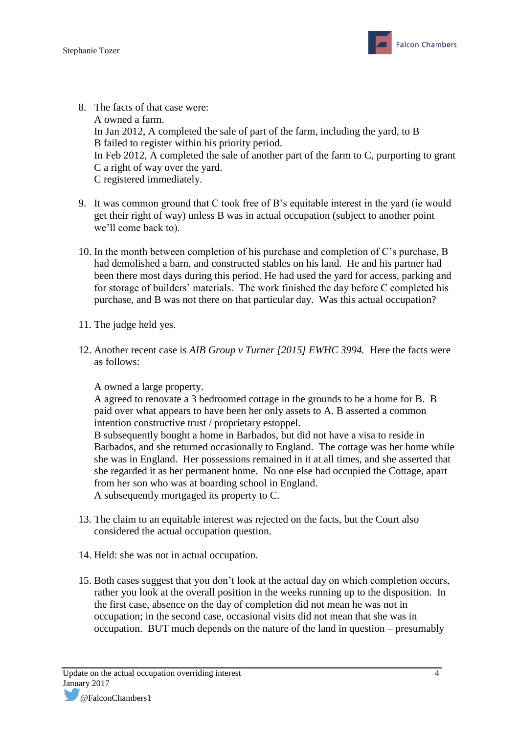- 8. The facts of that case were: A owned a farm. In Jan 2012, A completed the sale of part of the farm, including the yard, to B B failed to register within his priority period. In Feb 2012, A completed the sale of another part of the farm to C, purporting to grant C a right of way over the yard. C registered immediately.
- 9. It was common ground that C took free of B's equitable interest in the yard (ie would get their right of way) unless B was in actual occupation (subject to another point we'll come back to).
- 10. In the month between completion of his purchase and completion of C's purchase, B had demolished a barn, and constructed stables on his land. He and his partner had been there most days during this period. He had used the yard for access, parking and for storage of builders' materials. The work finished the day before C completed his purchase, and B was not there on that particular day. Was this actual occupation?
- 11. The judge held yes.
- 12. Another recent case is *AIB Group v Turner [2015] EWHC 3994.* Here the facts were as follows:

A owned a large property.

A agreed to renovate a 3 bedroomed cottage in the grounds to be a home for B. B paid over what appears to have been her only assets to A. B asserted a common intention constructive trust / proprietary estoppel.

B subsequently bought a home in Barbados, but did not have a visa to reside in Barbados, and she returned occasionally to England. The cottage was her home while she was in England. Her possessions remained in it at all times, and she asserted that she regarded it as her permanent home. No one else had occupied the Cottage, apart from her son who was at boarding school in England.

A subsequently mortgaged its property to C.

- 13. The claim to an equitable interest was rejected on the facts, but the Court also considered the actual occupation question.
- 14. Held: she was not in actual occupation.
- 15. Both cases suggest that you don't look at the actual day on which completion occurs, rather you look at the overall position in the weeks running up to the disposition. In the first case, absence on the day of completion did not mean he was not in occupation; in the second case, occasional visits did not mean that she was in occupation. BUT much depends on the nature of the land in question – presumably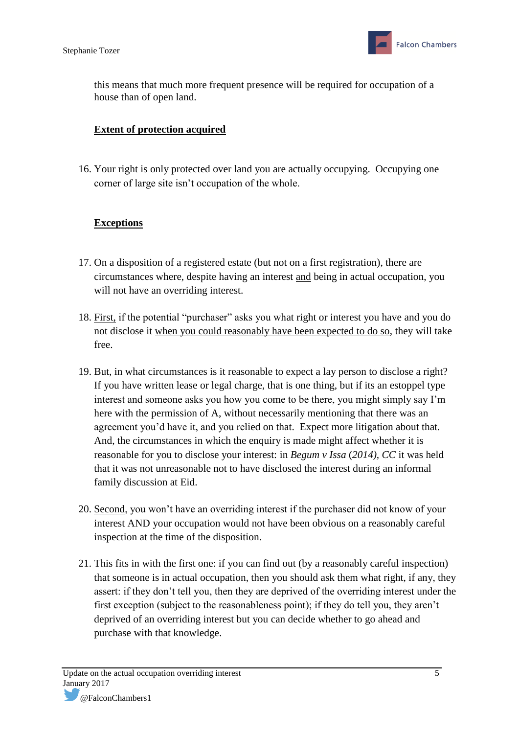this means that much more frequent presence will be required for occupation of a house than of open land.

# **Extent of protection acquired**

16. Your right is only protected over land you are actually occupying. Occupying one corner of large site isn't occupation of the whole.

# **Exceptions**

- 17. On a disposition of a registered estate (but not on a first registration), there are circumstances where, despite having an interest and being in actual occupation, you will not have an overriding interest.
- 18. First, if the potential "purchaser" asks you what right or interest you have and you do not disclose it when you could reasonably have been expected to do so, they will take free.
- 19. But, in what circumstances is it reasonable to expect a lay person to disclose a right? If you have written lease or legal charge, that is one thing, but if its an estoppel type interest and someone asks you how you come to be there, you might simply say I'm here with the permission of A, without necessarily mentioning that there was an agreement you'd have it, and you relied on that. Expect more litigation about that. And, the circumstances in which the enquiry is made might affect whether it is reasonable for you to disclose your interest: in *Begum v Issa* (*2014), CC* it was held that it was not unreasonable not to have disclosed the interest during an informal family discussion at Eid.
- 20. Second, you won't have an overriding interest if the purchaser did not know of your interest AND your occupation would not have been obvious on a reasonably careful inspection at the time of the disposition.
- 21. This fits in with the first one: if you can find out (by a reasonably careful inspection) that someone is in actual occupation, then you should ask them what right, if any, they assert: if they don't tell you, then they are deprived of the overriding interest under the first exception (subject to the reasonableness point); if they do tell you, they aren't deprived of an overriding interest but you can decide whether to go ahead and purchase with that knowledge.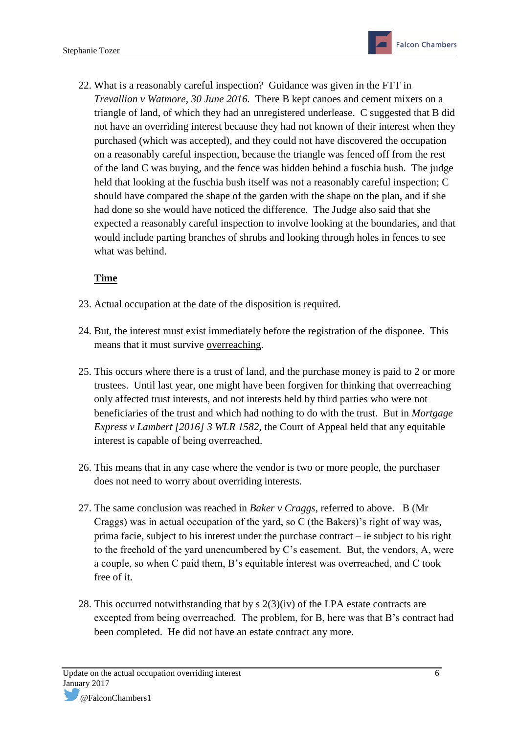22. What is a reasonably careful inspection? Guidance was given in the FTT in *Trevallion v Watmore, 30 June 2016.* There B kept canoes and cement mixers on a triangle of land, of which they had an unregistered underlease. C suggested that B did not have an overriding interest because they had not known of their interest when they purchased (which was accepted), and they could not have discovered the occupation on a reasonably careful inspection, because the triangle was fenced off from the rest of the land C was buying, and the fence was hidden behind a fuschia bush. The judge held that looking at the fuschia bush itself was not a reasonably careful inspection; C should have compared the shape of the garden with the shape on the plan, and if she had done so she would have noticed the difference. The Judge also said that she expected a reasonably careful inspection to involve looking at the boundaries, and that would include parting branches of shrubs and looking through holes in fences to see what was behind.

# **Time**

- 23. Actual occupation at the date of the disposition is required.
- 24. But, the interest must exist immediately before the registration of the disponee. This means that it must survive overreaching.
- 25. This occurs where there is a trust of land, and the purchase money is paid to 2 or more trustees. Until last year, one might have been forgiven for thinking that overreaching only affected trust interests, and not interests held by third parties who were not beneficiaries of the trust and which had nothing to do with the trust. But in *Mortgage Express v Lambert [2016] 3 WLR 1582*, the Court of Appeal held that any equitable interest is capable of being overreached.
- 26. This means that in any case where the vendor is two or more people, the purchaser does not need to worry about overriding interests.
- 27. The same conclusion was reached in *Baker v Craggs,* referred to above. B (Mr Craggs) was in actual occupation of the yard, so C (the Bakers)'s right of way was, prima facie, subject to his interest under the purchase contract – ie subject to his right to the freehold of the yard unencumbered by C's easement. But, the vendors, A, were a couple, so when C paid them, B's equitable interest was overreached, and C took free of it.
- 28. This occurred notwithstanding that by s 2(3)(iv) of the LPA estate contracts are excepted from being overreached. The problem, for B, here was that B's contract had been completed. He did not have an estate contract any more.